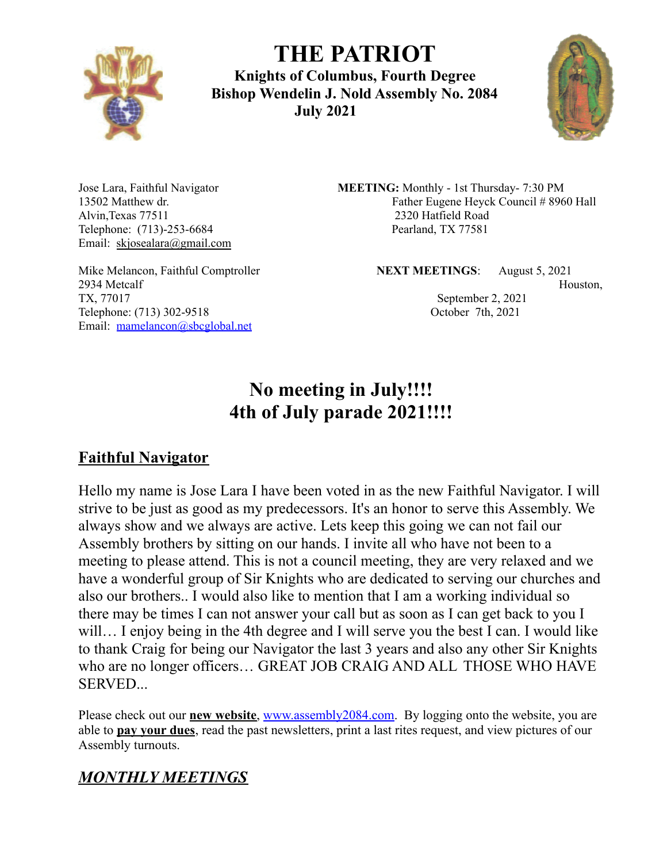

**THE PATRIOT Knights of Columbus, Fourth Degree Bishop Wendelin J. Nold Assembly No. 2084 July 2021**



Alvin,Texas 77511 2320 Hatfield Road Telephone: (713)-253-6684 Pearland, TX 77581 Email: skjosealara@gmail.com

2934 Metcalf Houston, and the Houston, and the Houston, and the Houston, and the Houston, and the Houston, and the Houston, and the Houston, and the Houston, and the Houston, and the Houston, and the Houston, and the Houst TX, 77017 September 2, 2021 Telephone: (713) 302-9518 October 7th, 2021 Email: mamelancon@sbcglobal.net

Jose Lara, Faithful Navigator **MEETING:** Monthly - 1st Thursday- 7:30 PM 13502 Matthew dr. **Father Eugene Heyck Council # 8960 Hall** 

Mike Melancon, Faithful Comptroller **NEXT MEETINGS**: August 5, 2021

# **No meeting in July!!!! 4th of July parade 2021!!!!**

## **Faithful Navigator**

Hello my name is Jose Lara I have been voted in as the new Faithful Navigator. I will strive to be just as good as my predecessors. It's an honor to serve this Assembly. We always show and we always are active. Lets keep this going we can not fail our Assembly brothers by sitting on our hands. I invite all who have not been to a meeting to please attend. This is not a council meeting, they are very relaxed and we have a wonderful group of Sir Knights who are dedicated to serving our churches and also our brothers.. I would also like to mention that I am a working individual so there may be times I can not answer your call but as soon as I can get back to you I will... I enjoy being in the 4th degree and I will serve you the best I can. I would like to thank Craig for being our Navigator the last 3 years and also any other Sir Knights who are no longer officers… GREAT JOB CRAIG AND ALL THOSE WHO HAVE SERVED...

Please check out our **new website**, www.assembly2084.com. By logging onto the website, you are able to **pay your dues**, read the past newsletters, print a last rites request, and view pictures of our Assembly turnouts.

## *MONTHLY MEETINGS*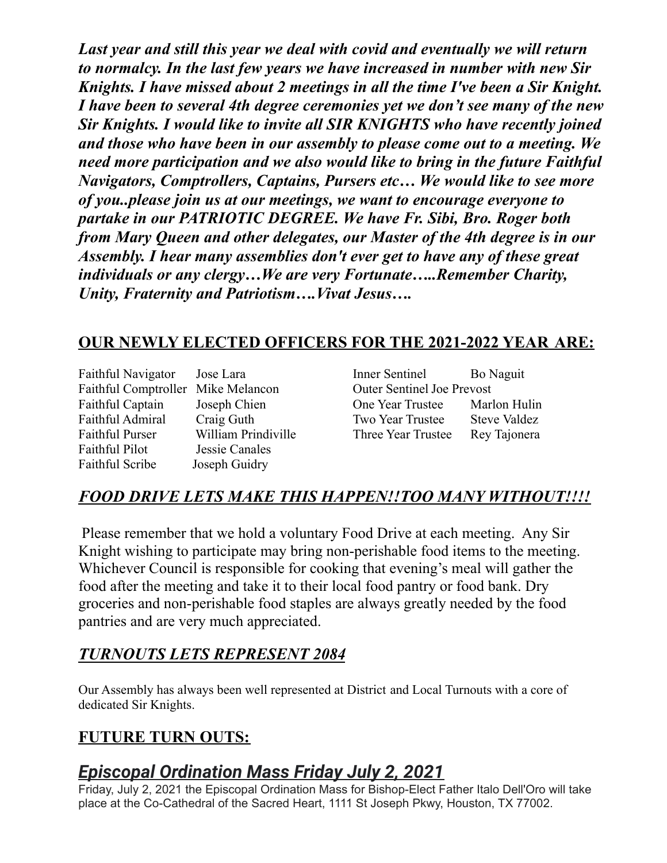*Last year and still this year we deal with covid and eventually we will return to normalcy. In the last few years we have increased in number with new Sir Knights. I have missed about 2 meetings in all the time I've been a Sir Knight. I have been to several 4th degree ceremonies yet we don't see many of the new Sir Knights. I would like to invite all SIR KNIGHTS who have recently joined and those who have been in our assembly to please come out to a meeting. We need more participation and we also would like to bring in the future Faithful Navigators, Comptrollers, Captains, Pursers etc… We would like to see more of you..please join us at our meetings, we want to encourage everyone to partake in our PATRIOTIC DEGREE. We have Fr. Sibi, Bro. Roger both from Mary Queen and other delegates, our Master of the 4th degree is in our Assembly. I hear many assemblies don't ever get to have any of these great individuals or any clergy…We are very Fortunate…..Remember Charity, Unity, Fraternity and Patriotism….Vivat Jesus….*

## **OUR NEWLY ELECTED OFFICERS FOR THE 2021-2022 YEAR ARE:**

| Faithful Navigator      | Jose Lara          |
|-------------------------|--------------------|
| Faithful Comptroller    | Mike Melancon      |
| <b>Faithful Captain</b> | Joseph Chien       |
| Faithful Admiral        | Craig Guth         |
| <b>Faithful Purser</b>  | William Prindivill |
| <b>Faithful Pilot</b>   | Jessie Canales     |
| <b>Faithful Scribe</b>  | Joseph Guidry      |

Inner Sentinel Bo Naguit Outer Sentinel Joe Prevost **Captain Chief Captain Chief Chief Chief Chief Chief Chief Chief Chief Chief Chief Chief Chief Chief Chief Chief Chief Chief Chief Chief Chief Chief Chief Chief Chief Chief Chief Chief Chief Chief Chief Chief Chief Chief C** Two Year Trustee Steve Valdez le Three Year Trustee Rey Tajonera

## *FOOD DRIVE LETS MAKE THIS HAPPEN!!TOO MANY WITHOUT!!!!*

Please remember that we hold a voluntary Food Drive at each meeting. Any Sir Knight wishing to participate may bring non-perishable food items to the meeting. Whichever Council is responsible for cooking that evening's meal will gather the food after the meeting and take it to their local food pantry or food bank. Dry groceries and non-perishable food staples are always greatly needed by the food pantries and are very much appreciated.

## *TURNOUTS LETS REPRESENT 2084*

Our Assembly has always been well represented at District and Local Turnouts with a core of dedicated Sir Knights.

## **FUTURE TURN OUTS:**

## *Episcopal Ordination Mass Friday July 2, 2021*

Friday, July 2, 2021 the Episcopal Ordination Mass for Bishop-Elect Father Italo Dell'Oro will take place at the Co-Cathedral of the Sacred Heart, 1111 St Joseph Pkwy, Houston, TX 77002.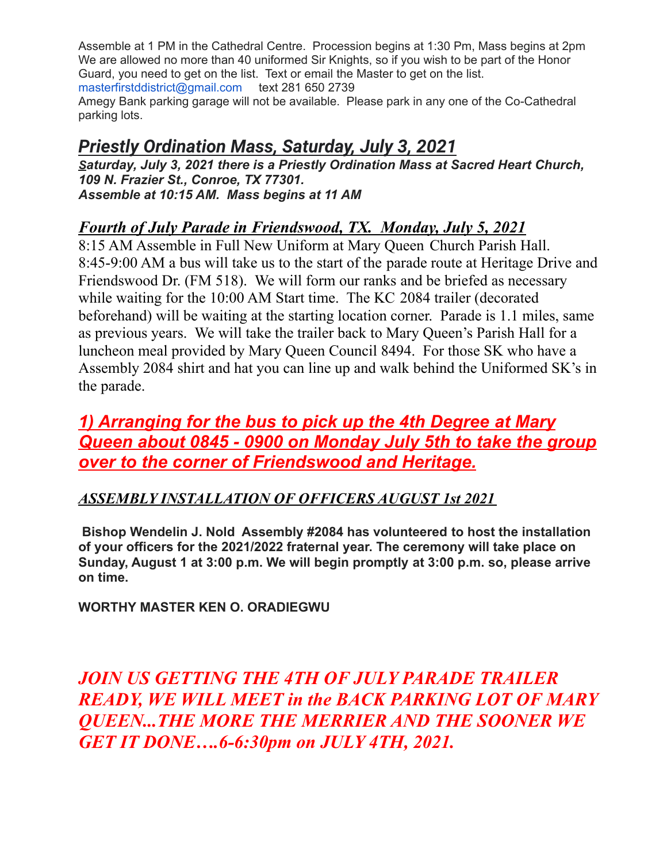Assemble at 1 PM in the Cathedral Centre. Procession begins at 1:30 Pm, Mass begins at 2pm We are allowed no more than 40 uniformed Sir Knights, so if you wish to be part of the Honor Guard, you need to get on the list. Text or email the Master to get on the list. masterfirstddistrict@gmail.com text 281 650 2739

Amegy Bank parking garage will not be available. Please park in any one of the Co-Cathedral parking lots.

## *Priestly Ordination Mass, Saturday, July 3, 2021*

*Saturday, July 3, 2021 there is a Priestly Ordination Mass at Sacred Heart Church, 109 N. Frazier St., Conroe, TX 77301. Assemble at 10:15 AM. Mass begins at 11 AM*

## *Fourth of July Parade in Friendswood, TX. Monday, July 5, 2021*

8:15 AM Assemble in Full New Uniform at Mary Queen Church Parish Hall. 8:45-9:00 AM a bus will take us to the start of the parade route at Heritage Drive and Friendswood Dr. (FM 518). We will form our ranks and be briefed as necessary while waiting for the 10:00 AM Start time. The KC 2084 trailer (decorated beforehand) will be waiting at the starting location corner. Parade is 1.1 miles, same as previous years. We will take the trailer back to Mary Queen's Parish Hall for a luncheon meal provided by Mary Queen Council 8494. For those SK who have a Assembly 2084 shirt and hat you can line up and walk behind the Uniformed SK's in the parade.

## *1) Arranging for the bus to pick up the 4th Degree at Mary Queen about 0845 - 0900 on Monday July 5th to take the group over to the corner of Friendswood and Heritage.*

## *ASSEMBLY INSTALLATION OF OFFICERS AUGUST 1st 2021*

**Bishop Wendelin J. Nold Assembly #2084 has volunteered to host the installation of your officers for the 2021/2022 fraternal year. The ceremony will take place on Sunday, August 1 at 3:00 p.m. We will begin promptly at 3:00 p.m. so, please arrive on time.**

**WORTHY MASTER KEN O. ORADIEGWU**

*JOIN US GETTING THE 4TH OF JULY PARADE TRAILER READY, WE WILL MEET in the BACK PARKING LOT OF MARY QUEEN...THE MORE THE MERRIER AND THE SOONER WE GET IT DONE….6-6:30pm on JULY 4TH, 2021.*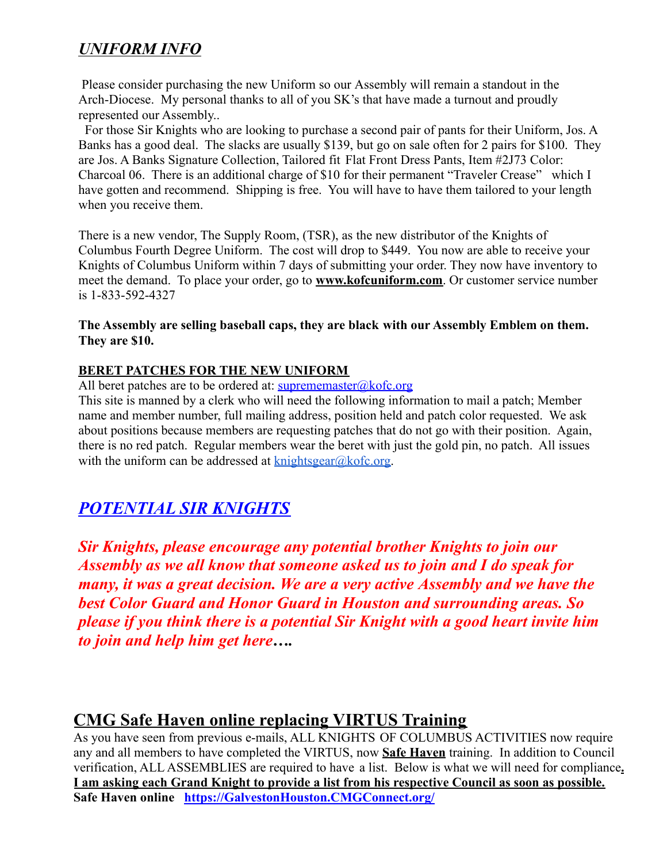## *UNIFORM INFO*

Please consider purchasing the new Uniform so our Assembly will remain a standout in the Arch-Diocese. My personal thanks to all of you SK's that have made a turnout and proudly represented our Assembly..

For those Sir Knights who are looking to purchase a second pair of pants for their Uniform, Jos. A Banks has a good deal. The slacks are usually \$139, but go on sale often for 2 pairs for \$100. They are Jos. A Banks Signature Collection, Tailored fit Flat Front Dress Pants, Item #2J73 Color: Charcoal 06. There is an additional charge of \$10 for their permanent "Traveler Crease" which I have gotten and recommend. Shipping is free. You will have to have them tailored to your length when you receive them.

There is a new vendor, The Supply Room, (TSR), as the new distributor of the Knights of Columbus Fourth Degree Uniform. The cost will drop to \$449. You now are able to receive your Knights of Columbus Uniform within 7 days of submitting your order. They now have inventory to meet the demand. To place your order, go to **www.kofcuniform.com**. Or customer service number is 1-833-592-4327

**The Assembly are selling baseball caps, they are black with our Assembly Emblem on them. They are \$10.**

#### **BERET PATCHES FOR THE NEW UNIFORM**

All beret patches are to be ordered at:  $\frac{\text{superparameter}(a)\cdot\text{Kofc.org}}{\text{Sofc.org}}$ 

This site is manned by a clerk who will need the following information to mail a patch; Member name and member number, full mailing address, position held and patch color requested. We ask about positions because members are requesting patches that do not go with their position. Again, there is no red patch. Regular members wear the beret with just the gold pin, no patch. All issues with the uniform can be addressed at  $k$ nightsgear@kofc.org.

## *POTENTIAL SIR KNIGHTS*

*Sir Knights, please encourage any potential brother Knights to join our Assembly as we all know that someone asked us to join and I do speak for many, it was a great decision. We are a very active Assembly and we have the best Color Guard and Honor Guard in Houston and surrounding areas. So please if you think there is a potential Sir Knight with a good heart invite him to join and help him get here….*

## **CMG Safe Haven online replacing VIRTUS Training**

As you have seen from previous e-mails, ALL KNIGHTS OF COLUMBUS ACTIVITIES now require any and all members to have completed the VIRTUS, now **Safe Haven** training. In addition to Council verification, ALL ASSEMBLIES are required to have a list. Below is what we will need for compliance**. I am asking each Grand Knight to provide a list from his respective Council as soon as possible. Safe Haven online https://GalvestonHouston.CMGConnect.org/**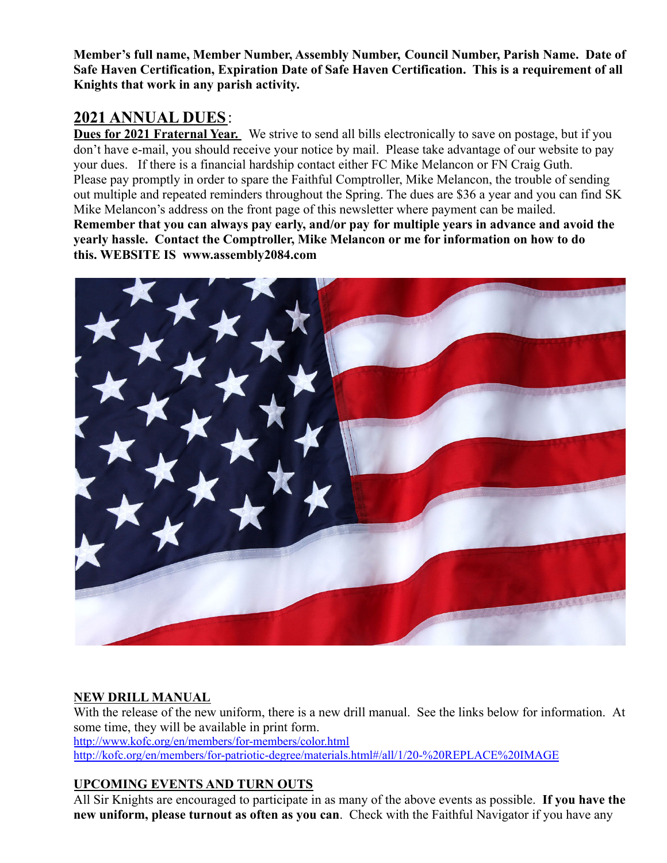**Member's full name, Member Number, Assembly Number, Council Number, Parish Name. Date of Safe Haven Certification, Expiration Date of Safe Haven Certification. This is a requirement of all Knights that work in any parish activity.**

### **2021 ANNUAL DUES**:

**Dues for 2021 Fraternal Year.** We strive to send all bills electronically to save on postage, but if you don't have e-mail, you should receive your notice by mail. Please take advantage of our website to pay your dues. If there is a financial hardship contact either FC Mike Melancon or FN Craig Guth. Please pay promptly in order to spare the Faithful Comptroller, Mike Melancon, the trouble of sending out multiple and repeated reminders throughout the Spring. The dues are \$36 a year and you can find SK Mike Melancon's address on the front page of this newsletter where payment can be mailed. **Remember that you can always pay early, and/or pay for multiple years in advance and avoid the yearly hassle. Contact the Comptroller, Mike Melancon or me for information on how to do this. WEBSITE IS www.assembly2084.com**



#### **NEW DRILL MANUAL**

With the release of the new uniform, there is a new drill manual. See the links below for information. At some time, they will be available in print form. http://www.kofc.org/en/members/for-members/color.html http://kofc.org/en/members/for-patriotic-degree/materials.html#/all/1/20-%20REPLACE%20IMAGE

#### **UPCOMING EVENTS AND TURN OUTS**

All Sir Knights are encouraged to participate in as many of the above events as possible. **If you have the new uniform, please turnout as often as you can**. Check with the Faithful Navigator if you have any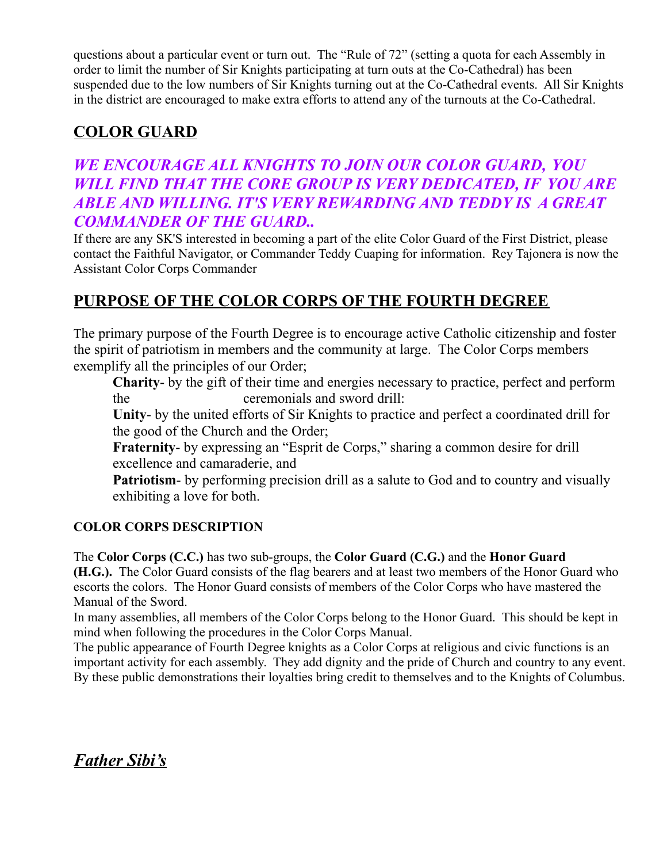questions about a particular event or turn out. The "Rule of 72" (setting a quota for each Assembly in order to limit the number of Sir Knights participating at turn outs at the Co-Cathedral) has been suspended due to the low numbers of Sir Knights turning out at the Co-Cathedral events. All Sir Knights in the district are encouraged to make extra efforts to attend any of the turnouts at the Co-Cathedral.

## **COLOR GUARD**

## *WE ENCOURAGE ALL KNIGHTS TO JOIN OUR COLOR GUARD, YOU WILL FIND THAT THE CORE GROUP IS VERY DEDICATED, IF YOU ARE ABLE AND WILLING. IT'S VERY REWARDING AND TEDDY IS A GREAT COMMANDER OF THE GUARD..*

If there are any SK'S interested in becoming a part of the elite Color Guard of the First District, please contact the Faithful Navigator, or Commander Teddy Cuaping for information. Rey Tajonera is now the Assistant Color Corps Commander

## **PURPOSE OF THE COLOR CORPS OF THE FOURTH DEGREE**

The primary purpose of the Fourth Degree is to encourage active Catholic citizenship and foster the spirit of patriotism in members and the community at large. The Color Corps members exemplify all the principles of our Order;

**Charity**- by the gift of their time and energies necessary to practice, perfect and perform the ceremonials and sword drill:

**Unity**- by the united efforts of Sir Knights to practice and perfect a coordinated drill for the good of the Church and the Order;

**Fraternity**- by expressing an "Esprit de Corps," sharing a common desire for drill excellence and camaraderie, and

**Patriotism**- by performing precision drill as a salute to God and to country and visually exhibiting a love for both.

#### **COLOR CORPS DESCRIPTION**

The **Color Corps (C.C.)** has two sub-groups, the **Color Guard (C.G.)** and the **Honor Guard (H.G.).** The Color Guard consists of the flag bearers and at least two members of the Honor Guard who escorts the colors. The Honor Guard consists of members of the Color Corps who have mastered the Manual of the Sword.

In many assemblies, all members of the Color Corps belong to the Honor Guard. This should be kept in mind when following the procedures in the Color Corps Manual.

The public appearance of Fourth Degree knights as a Color Corps at religious and civic functions is an important activity for each assembly. They add dignity and the pride of Church and country to any event. By these public demonstrations their loyalties bring credit to themselves and to the Knights of Columbus.

*Father Sibi's*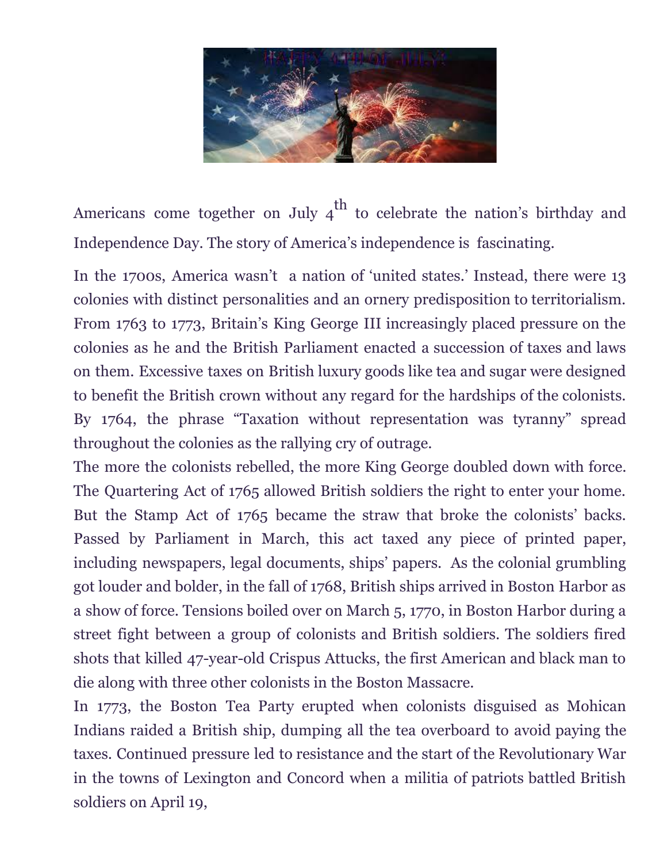

Americans come together on July  $4^{\text{th}}$  to celebrate the nation's birthday and Independence Day. The story of America's independence is fascinating.

In the 1700s, America wasn't a nation of 'united states.' Instead, there were 13 colonies with distinct personalities and an ornery predisposition to territorialism. From 1763 to 1773, Britain's King George III increasingly placed pressure on the colonies as he and the British Parliament enacted a succession of taxes and laws on them. Excessive taxes on British luxury goods like tea and sugar were designed to benefit the British crown without any regard for the hardships of the colonists. By 1764, the phrase "Taxation without representation was tyranny" spread throughout the colonies as the rallying cry of outrage.

The more the colonists rebelled, the more King George doubled down with force. The Quartering Act of 1765 allowed British soldiers the right to enter your home. But the Stamp Act of 1765 became the straw that broke the colonists' backs. Passed by Parliament in March, this act taxed any piece of printed paper, including newspapers, legal documents, ships' papers. As the colonial grumbling got louder and bolder, in the fall of 1768, British ships arrived in Boston Harbor as a show of force. Tensions boiled over on March 5, 1770, in Boston Harbor during a street fight between a group of colonists and British soldiers. The soldiers fired shots that killed 47-year-old Crispus Attucks, the first American and black man to die along with three other colonists in the Boston Massacre.

In 1773, the Boston Tea Party erupted when colonists disguised as Mohican Indians raided a British ship, dumping all the tea overboard to avoid paying the taxes. Continued pressure led to resistance and the start of the Revolutionary War in the towns of Lexington and Concord when a militia of patriots battled British soldiers on April 19,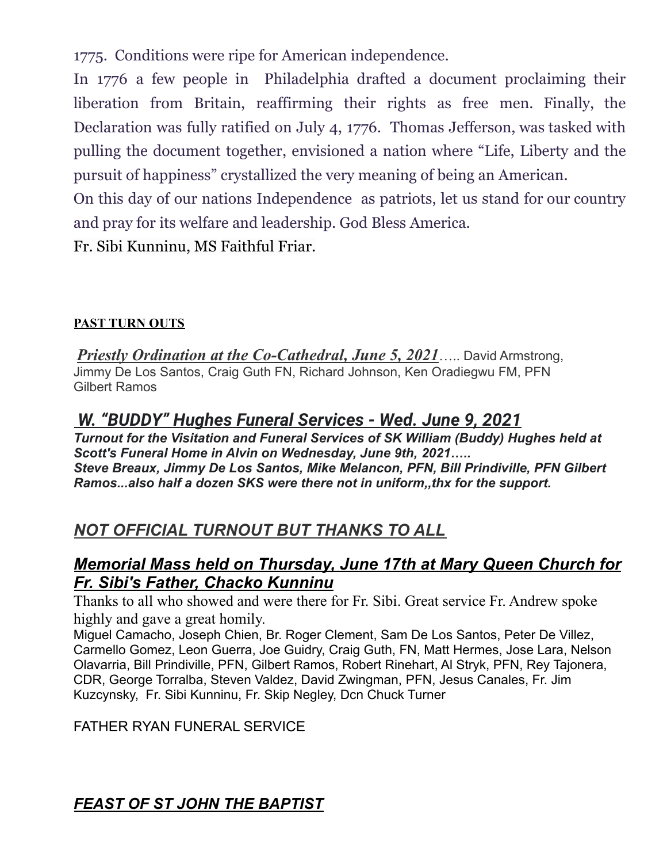1775. Conditions were ripe for American independence.

In 1776 a few people in Philadelphia drafted a document proclaiming their liberation from Britain, reaffirming their rights as free men. Finally, the Declaration was fully ratified on July 4, 1776. Thomas Jefferson, was tasked with pulling the document together, envisioned a nation where "Life, Liberty and the pursuit of happiness" crystallized the very meaning of being an American.

On this day of our nations Independence as patriots, let us stand for our country and pray for its welfare and leadership. God Bless America.

Fr. Sibi Kunninu, MS Faithful Friar.

#### **PAST TURN OUTS**

*Priestly Ordination at the Co-Cathedral, June 5, 2021*….. David Armstrong, Jimmy De Los Santos, Craig Guth FN, Richard Johnson, Ken Oradiegwu FM, PFN Gilbert Ramos

## *W. "BUDDY" Hughes Funeral Services - Wed. June 9, 2021*

*Turnout for the Visitation and Funeral Services of SK William (Buddy) Hughes held at Scott's Funeral Home in Alvin on Wednesday, June 9th, 2021….. Steve Breaux, Jimmy De Los Santos, Mike Melancon, PFN, Bill Prindiville, PFN Gilbert Ramos...also half a dozen SKS were there not in uniform,,thx for the support.*

## *NOT OFFICIAL TURNOUT BUT THANKS TO ALL*

## *Memorial Mass held on Thursday, June 17th at Mary Queen Church for Fr. Sibi's Father, Chacko Kunninu*

Thanks to all who showed and were there for Fr. Sibi. Great service Fr. Andrew spoke highly and gave a great homily.

Miguel Camacho, Joseph Chien, Br. Roger Clement, Sam De Los Santos, Peter De Villez, Carmello Gomez, Leon Guerra, Joe Guidry, Craig Guth, FN, Matt Hermes, Jose Lara, Nelson Olavarria, Bill Prindiville, PFN, Gilbert Ramos, Robert Rinehart, Al Stryk, PFN, Rey Tajonera, CDR, George Torralba, Steven Valdez, David Zwingman, PFN, Jesus Canales, Fr. Jim Kuzcynsky, Fr. Sibi Kunninu, Fr. Skip Negley, Dcn Chuck Turner

#### FATHER RYAN FUNERAL SERVICE

*FEAST OF ST JOHN THE BAPTIST*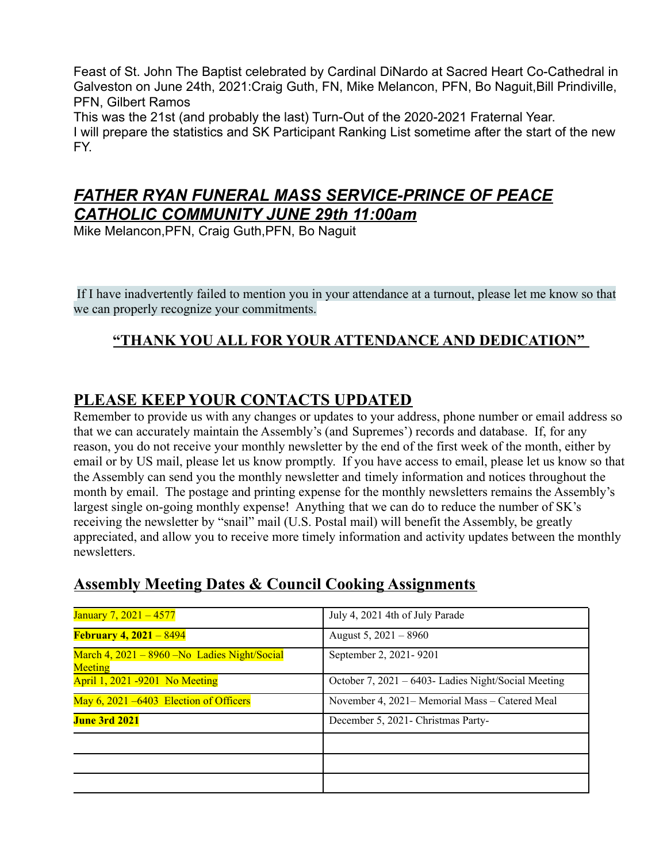Feast of St. John The Baptist celebrated by Cardinal DiNardo at Sacred Heart Co-Cathedral in Galveston on June 24th, 2021:Craig Guth, FN, Mike Melancon, PFN, Bo Naguit,Bill Prindiville, PFN, Gilbert Ramos

This was the 21st (and probably the last) Turn-Out of the 2020-2021 Fraternal Year. I will prepare the statistics and SK Participant Ranking List sometime after the start of the new FY.

## *FATHER RYAN FUNERAL MASS SERVICE-PRINCE OF PEACE CATHOLIC COMMUNITY JUNE 29th 11:00am*

Mike Melancon,PFN, Craig Guth,PFN, Bo Naguit

If I have inadvertently failed to mention you in your attendance at a turnout, please let me know so that we can properly recognize your commitments.

## **"THANK YOU ALL FOR YOUR ATTENDANCE AND DEDICATION"**

## **PLEASE KEEP YOUR CONTACTS UPDATED**

Remember to provide us with any changes or updates to your address, phone number or email address so that we can accurately maintain the Assembly's (and Supremes') records and database. If, for any reason, you do not receive your monthly newsletter by the end of the first week of the month, either by email or by US mail, please let us know promptly. If you have access to email, please let us know so that the Assembly can send you the monthly newsletter and timely information and notices throughout the month by email. The postage and printing expense for the monthly newsletters remains the Assembly's largest single on-going monthly expense! Anything that we can do to reduce the number of SK's receiving the newsletter by "snail" mail (U.S. Postal mail) will benefit the Assembly, be greatly appreciated, and allow you to receive more timely information and activity updates between the monthly newsletters.

# January 7, 2021 – 4577 July 4, 2021 4th of July Parade **February 4, 2021** – 8494 **August 5, 2021** – 8960 March 4, 2021 – 8960 –No Ladies Night/Social **Meeting** September 2, 2021- 9201 April 1, 2021 -9201 No Meeting October 7, 2021 – 6403- Ladies Night/Social Meeting May 6, 2021 –6403 Election of Officers November 4, 2021– Memorial Mass – Catered Meal **June 3rd 2021** December 5, 2021- Christmas Party-

## **Assembly Meeting Dates & Council Cooking Assignments**